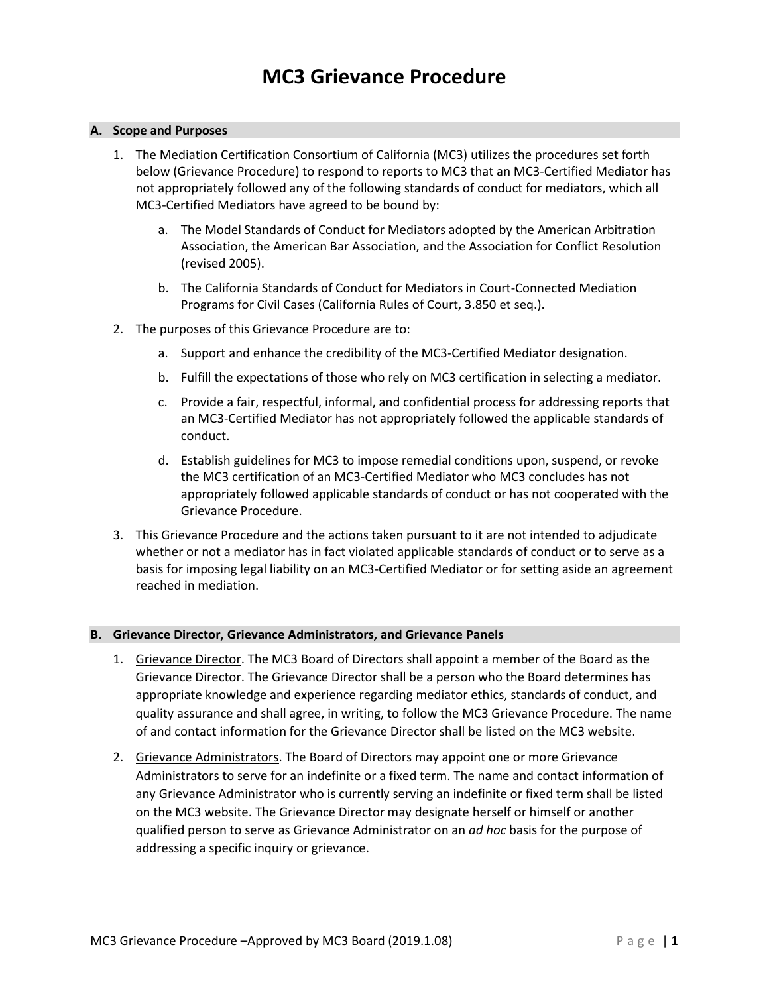## **A. Scope and Purposes**

- 1. The Mediation Certification Consortium of California (MC3) utilizes the procedures set forth below (Grievance Procedure) to respond to reports to MC3 that an MC3-Certified Mediator has not appropriately followed any of the following standards of conduct for mediators, which all MC3-Certified Mediators have agreed to be bound by:
	- a. The Model Standards of Conduct for Mediators adopted by the American Arbitration Association, the American Bar Association, and the Association for Conflict Resolution (revised 2005).
	- b. The California Standards of Conduct for Mediators in Court-Connected Mediation Programs for Civil Cases (California Rules of Court, 3.850 et seq.).
- 2. The purposes of this Grievance Procedure are to:
	- a. Support and enhance the credibility of the MC3-Certified Mediator designation.
	- b. Fulfill the expectations of those who rely on MC3 certification in selecting a mediator.
	- c. Provide a fair, respectful, informal, and confidential process for addressing reports that an MC3-Certified Mediator has not appropriately followed the applicable standards of conduct.
	- d. Establish guidelines for MC3 to impose remedial conditions upon, suspend, or revoke the MC3 certification of an MC3-Certified Mediator who MC3 concludes has not appropriately followed applicable standards of conduct or has not cooperated with the Grievance Procedure.
- 3. This Grievance Procedure and the actions taken pursuant to it are not intended to adjudicate whether or not a mediator has in fact violated applicable standards of conduct or to serve as a basis for imposing legal liability on an MC3-Certified Mediator or for setting aside an agreement reached in mediation.

# **B. Grievance Director, Grievance Administrators, and Grievance Panels**

- 1. Grievance Director. The MC3 Board of Directors shall appoint a member of the Board as the Grievance Director. The Grievance Director shall be a person who the Board determines has appropriate knowledge and experience regarding mediator ethics, standards of conduct, and quality assurance and shall agree, in writing, to follow the MC3 Grievance Procedure. The name of and contact information for the Grievance Director shall be listed on the MC3 website.
- 2. Grievance Administrators. The Board of Directors may appoint one or more Grievance Administrators to serve for an indefinite or a fixed term. The name and contact information of any Grievance Administrator who is currently serving an indefinite or fixed term shall be listed on the MC3 website. The Grievance Director may designate herself or himself or another qualified person to serve as Grievance Administrator on an *ad hoc* basis for the purpose of addressing a specific inquiry or grievance.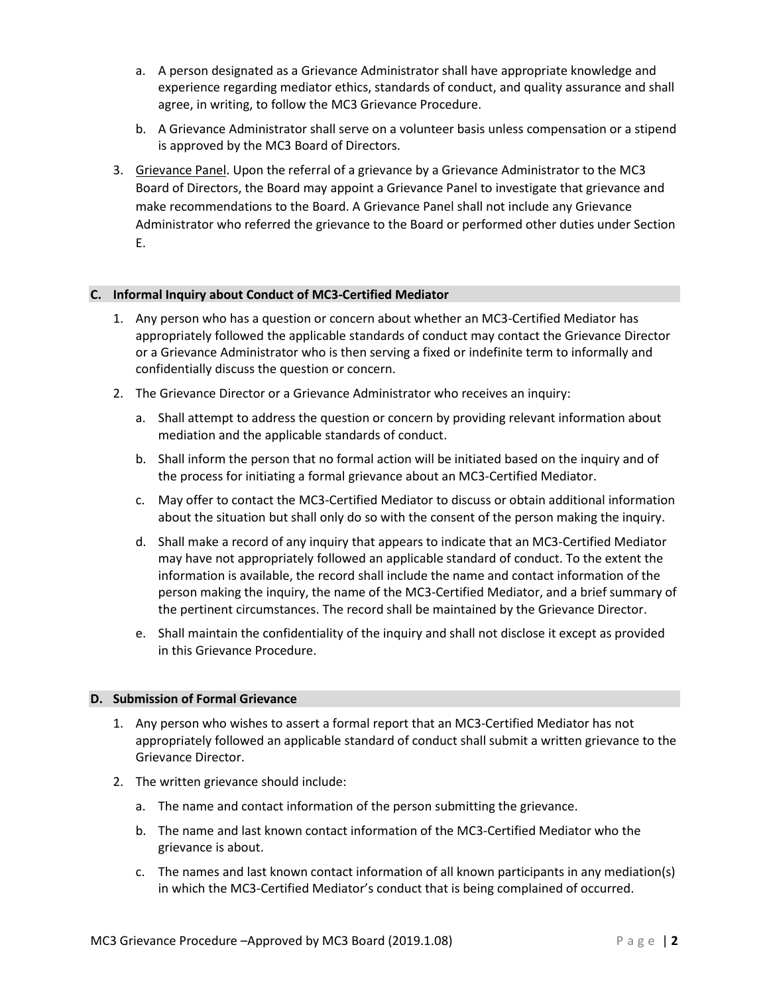- a. A person designated as a Grievance Administrator shall have appropriate knowledge and experience regarding mediator ethics, standards of conduct, and quality assurance and shall agree, in writing, to follow the MC3 Grievance Procedure.
- b. A Grievance Administrator shall serve on a volunteer basis unless compensation or a stipend is approved by the MC3 Board of Directors.
- 3. Grievance Panel. Upon the referral of a grievance by a Grievance Administrator to the MC3 Board of Directors, the Board may appoint a Grievance Panel to investigate that grievance and make recommendations to the Board. A Grievance Panel shall not include any Grievance Administrator who referred the grievance to the Board or performed other duties under Section E.

## **C. Informal Inquiry about Conduct of MC3-Certified Mediator**

- 1. Any person who has a question or concern about whether an MC3-Certified Mediator has appropriately followed the applicable standards of conduct may contact the Grievance Director or a Grievance Administrator who is then serving a fixed or indefinite term to informally and confidentially discuss the question or concern.
- 2. The Grievance Director or a Grievance Administrator who receives an inquiry:
	- a. Shall attempt to address the question or concern by providing relevant information about mediation and the applicable standards of conduct.
	- b. Shall inform the person that no formal action will be initiated based on the inquiry and of the process for initiating a formal grievance about an MC3-Certified Mediator.
	- c. May offer to contact the MC3-Certified Mediator to discuss or obtain additional information about the situation but shall only do so with the consent of the person making the inquiry.
	- d. Shall make a record of any inquiry that appears to indicate that an MC3-Certified Mediator may have not appropriately followed an applicable standard of conduct. To the extent the information is available, the record shall include the name and contact information of the person making the inquiry, the name of the MC3-Certified Mediator, and a brief summary of the pertinent circumstances. The record shall be maintained by the Grievance Director.
	- e. Shall maintain the confidentiality of the inquiry and shall not disclose it except as provided in this Grievance Procedure.

#### **D. Submission of Formal Grievance**

- 1. Any person who wishes to assert a formal report that an MC3-Certified Mediator has not appropriately followed an applicable standard of conduct shall submit a written grievance to the Grievance Director.
- 2. The written grievance should include:
	- a. The name and contact information of the person submitting the grievance.
	- b. The name and last known contact information of the MC3-Certified Mediator who the grievance is about.
	- c. The names and last known contact information of all known participants in any mediation(s) in which the MC3-Certified Mediator's conduct that is being complained of occurred.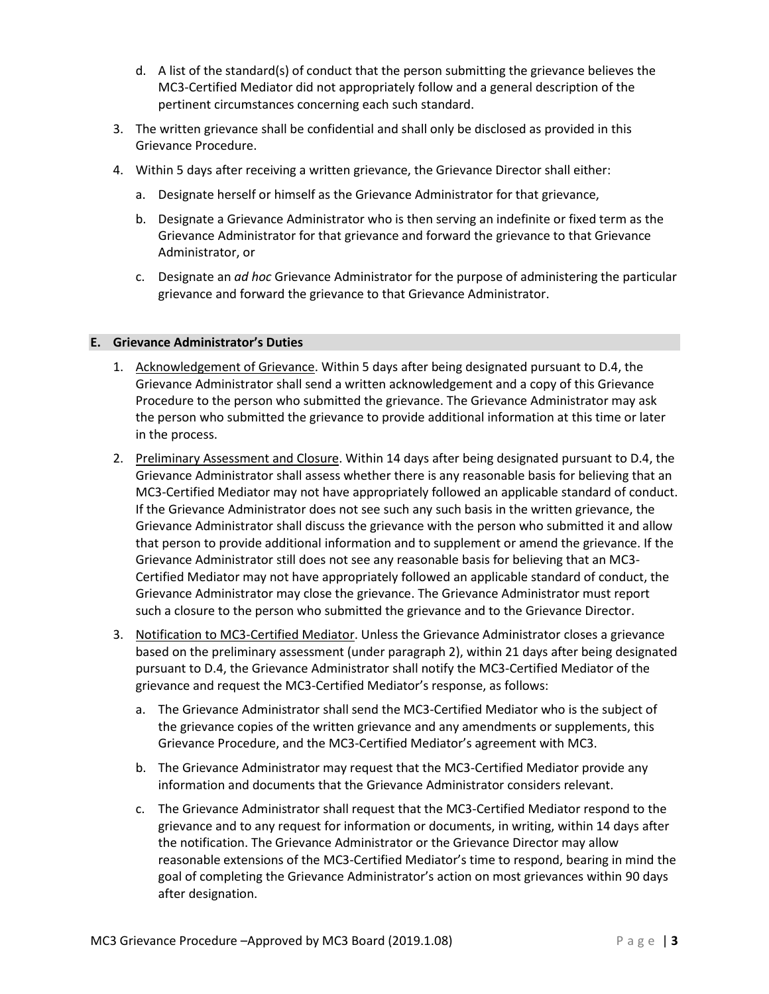- d. A list of the standard(s) of conduct that the person submitting the grievance believes the MC3-Certified Mediator did not appropriately follow and a general description of the pertinent circumstances concerning each such standard.
- 3. The written grievance shall be confidential and shall only be disclosed as provided in this Grievance Procedure.
- 4. Within 5 days after receiving a written grievance, the Grievance Director shall either:
	- a. Designate herself or himself as the Grievance Administrator for that grievance,
	- b. Designate a Grievance Administrator who is then serving an indefinite or fixed term as the Grievance Administrator for that grievance and forward the grievance to that Grievance Administrator, or
	- c. Designate an *ad hoc* Grievance Administrator for the purpose of administering the particular grievance and forward the grievance to that Grievance Administrator.

## **E. Grievance Administrator's Duties**

- 1. Acknowledgement of Grievance. Within 5 days after being designated pursuant to D.4, the Grievance Administrator shall send a written acknowledgement and a copy of this Grievance Procedure to the person who submitted the grievance. The Grievance Administrator may ask the person who submitted the grievance to provide additional information at this time or later in the process.
- 2. Preliminary Assessment and Closure. Within 14 days after being designated pursuant to D.4, the Grievance Administrator shall assess whether there is any reasonable basis for believing that an MC3-Certified Mediator may not have appropriately followed an applicable standard of conduct. If the Grievance Administrator does not see such any such basis in the written grievance, the Grievance Administrator shall discuss the grievance with the person who submitted it and allow that person to provide additional information and to supplement or amend the grievance. If the Grievance Administrator still does not see any reasonable basis for believing that an MC3- Certified Mediator may not have appropriately followed an applicable standard of conduct, the Grievance Administrator may close the grievance. The Grievance Administrator must report such a closure to the person who submitted the grievance and to the Grievance Director.
- 3. Notification to MC3-Certified Mediator. Unless the Grievance Administrator closes a grievance based on the preliminary assessment (under paragraph 2), within 21 days after being designated pursuant to D.4, the Grievance Administrator shall notify the MC3-Certified Mediator of the grievance and request the MC3-Certified Mediator's response, as follows:
	- a. The Grievance Administrator shall send the MC3-Certified Mediator who is the subject of the grievance copies of the written grievance and any amendments or supplements, this Grievance Procedure, and the MC3-Certified Mediator's agreement with MC3.
	- b. The Grievance Administrator may request that the MC3-Certified Mediator provide any information and documents that the Grievance Administrator considers relevant.
	- c. The Grievance Administrator shall request that the MC3-Certified Mediator respond to the grievance and to any request for information or documents, in writing, within 14 days after the notification. The Grievance Administrator or the Grievance Director may allow reasonable extensions of the MC3-Certified Mediator's time to respond, bearing in mind the goal of completing the Grievance Administrator's action on most grievances within 90 days after designation.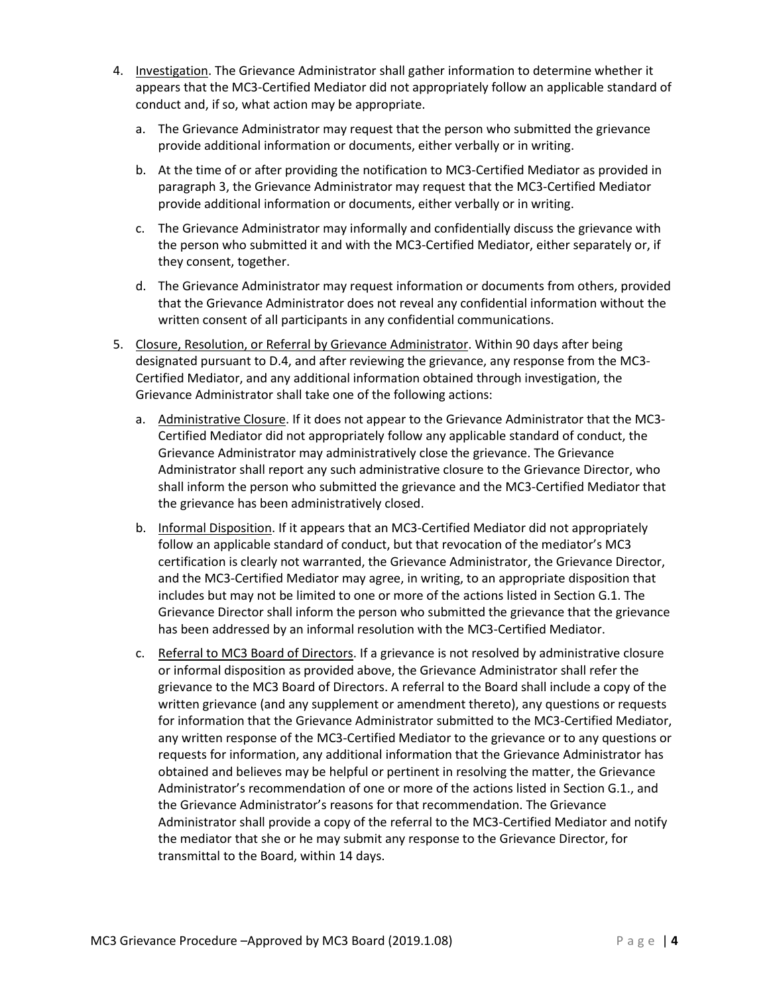- 4. Investigation. The Grievance Administrator shall gather information to determine whether it appears that the MC3-Certified Mediator did not appropriately follow an applicable standard of conduct and, if so, what action may be appropriate.
	- a. The Grievance Administrator may request that the person who submitted the grievance provide additional information or documents, either verbally or in writing.
	- b. At the time of or after providing the notification to MC3-Certified Mediator as provided in paragraph 3, the Grievance Administrator may request that the MC3-Certified Mediator provide additional information or documents, either verbally or in writing.
	- c. The Grievance Administrator may informally and confidentially discuss the grievance with the person who submitted it and with the MC3-Certified Mediator, either separately or, if they consent, together.
	- d. The Grievance Administrator may request information or documents from others, provided that the Grievance Administrator does not reveal any confidential information without the written consent of all participants in any confidential communications.
- 5. Closure, Resolution, or Referral by Grievance Administrator. Within 90 days after being designated pursuant to D.4, and after reviewing the grievance, any response from the MC3- Certified Mediator, and any additional information obtained through investigation, the Grievance Administrator shall take one of the following actions:
	- a. Administrative Closure. If it does not appear to the Grievance Administrator that the MC3- Certified Mediator did not appropriately follow any applicable standard of conduct, the Grievance Administrator may administratively close the grievance. The Grievance Administrator shall report any such administrative closure to the Grievance Director, who shall inform the person who submitted the grievance and the MC3-Certified Mediator that the grievance has been administratively closed.
	- b. Informal Disposition. If it appears that an MC3-Certified Mediator did not appropriately follow an applicable standard of conduct, but that revocation of the mediator's MC3 certification is clearly not warranted, the Grievance Administrator, the Grievance Director, and the MC3-Certified Mediator may agree, in writing, to an appropriate disposition that includes but may not be limited to one or more of the actions listed in Section G.1. The Grievance Director shall inform the person who submitted the grievance that the grievance has been addressed by an informal resolution with the MC3-Certified Mediator.
	- c. Referral to MC3 Board of Directors. If a grievance is not resolved by administrative closure or informal disposition as provided above, the Grievance Administrator shall refer the grievance to the MC3 Board of Directors. A referral to the Board shall include a copy of the written grievance (and any supplement or amendment thereto), any questions or requests for information that the Grievance Administrator submitted to the MC3-Certified Mediator, any written response of the MC3-Certified Mediator to the grievance or to any questions or requests for information, any additional information that the Grievance Administrator has obtained and believes may be helpful or pertinent in resolving the matter, the Grievance Administrator's recommendation of one or more of the actions listed in Section G.1., and the Grievance Administrator's reasons for that recommendation. The Grievance Administrator shall provide a copy of the referral to the MC3-Certified Mediator and notify the mediator that she or he may submit any response to the Grievance Director, for transmittal to the Board, within 14 days.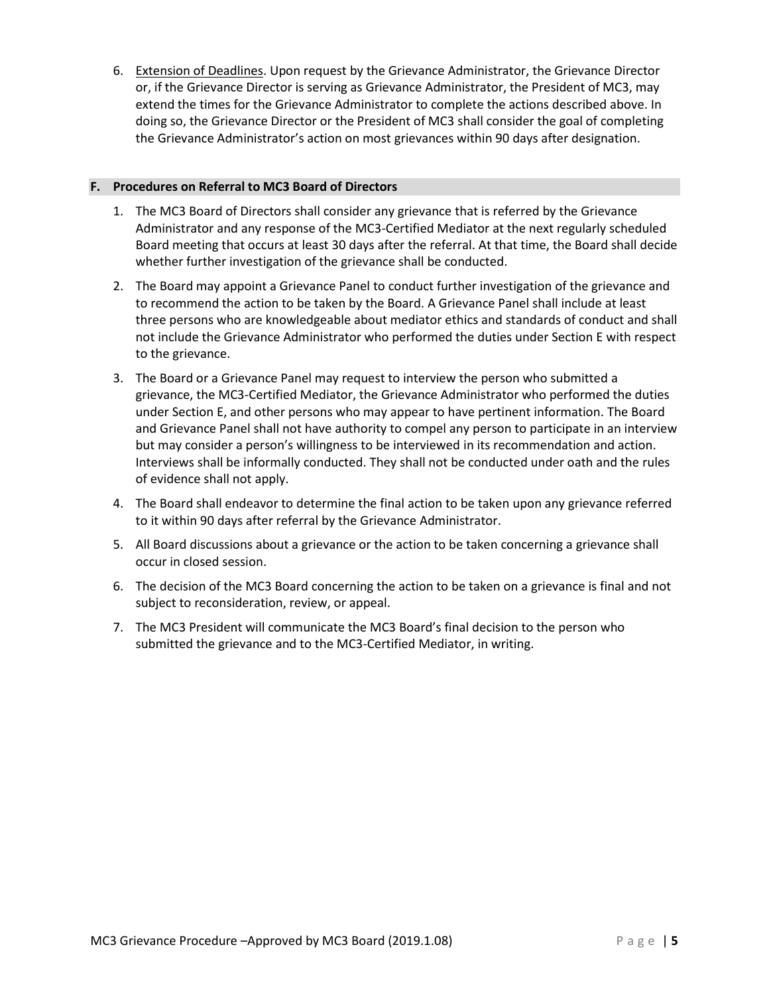6. Extension of Deadlines. Upon request by the Grievance Administrator, the Grievance Director or, if the Grievance Director is serving as Grievance Administrator, the President of MC3, may extend the times for the Grievance Administrator to complete the actions described above. In doing so, the Grievance Director or the President of MC3 shall consider the goal of completing the Grievance Administrator's action on most grievances within 90 days after designation.

## **F. Procedures on Referral to MC3 Board of Directors**

- 1. The MC3 Board of Directors shall consider any grievance that is referred by the Grievance Administrator and any response of the MC3-Certified Mediator at the next regularly scheduled Board meeting that occurs at least 30 days after the referral. At that time, the Board shall decide whether further investigation of the grievance shall be conducted.
- 2. The Board may appoint a Grievance Panel to conduct further investigation of the grievance and to recommend the action to be taken by the Board. A Grievance Panel shall include at least three persons who are knowledgeable about mediator ethics and standards of conduct and shall not include the Grievance Administrator who performed the duties under Section E with respect to the grievance.
- 3. The Board or a Grievance Panel may request to interview the person who submitted a grievance, the MC3-Certified Mediator, the Grievance Administrator who performed the duties under Section E, and other persons who may appear to have pertinent information. The Board and Grievance Panel shall not have authority to compel any person to participate in an interview but may consider a person's willingness to be interviewed in its recommendation and action. Interviews shall be informally conducted. They shall not be conducted under oath and the rules of evidence shall not apply.
- 4. The Board shall endeavor to determine the final action to be taken upon any grievance referred to it within 90 days after referral by the Grievance Administrator.
- 5. All Board discussions about a grievance or the action to be taken concerning a grievance shall occur in closed session.
- 6. The decision of the MC3 Board concerning the action to be taken on a grievance is final and not subject to reconsideration, review, or appeal.
- 7. The MC3 President will communicate the MC3 Board's final decision to the person who submitted the grievance and to the MC3-Certified Mediator, in writing.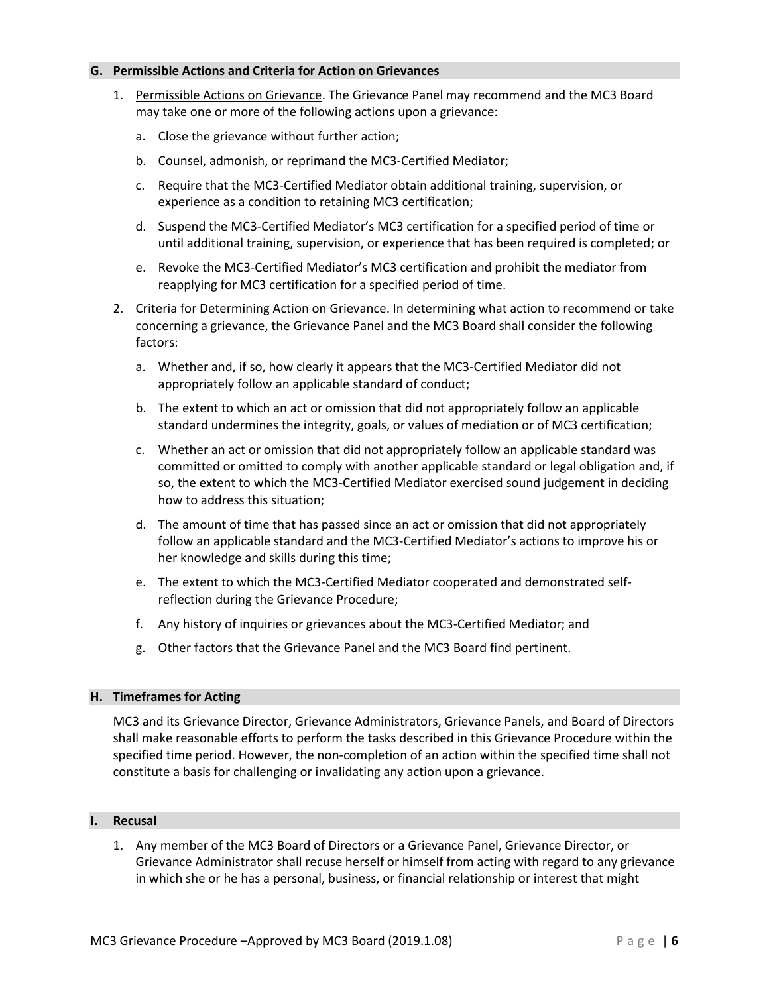#### **G. Permissible Actions and Criteria for Action on Grievances**

- 1. Permissible Actions on Grievance. The Grievance Panel may recommend and the MC3 Board may take one or more of the following actions upon a grievance:
	- a. Close the grievance without further action;
	- b. Counsel, admonish, or reprimand the MC3-Certified Mediator;
	- c. Require that the MC3-Certified Mediator obtain additional training, supervision, or experience as a condition to retaining MC3 certification;
	- d. Suspend the MC3-Certified Mediator's MC3 certification for a specified period of time or until additional training, supervision, or experience that has been required is completed; or
	- e. Revoke the MC3-Certified Mediator's MC3 certification and prohibit the mediator from reapplying for MC3 certification for a specified period of time.
- 2. Criteria for Determining Action on Grievance. In determining what action to recommend or take concerning a grievance, the Grievance Panel and the MC3 Board shall consider the following factors:
	- a. Whether and, if so, how clearly it appears that the MC3-Certified Mediator did not appropriately follow an applicable standard of conduct;
	- b. The extent to which an act or omission that did not appropriately follow an applicable standard undermines the integrity, goals, or values of mediation or of MC3 certification;
	- c. Whether an act or omission that did not appropriately follow an applicable standard was committed or omitted to comply with another applicable standard or legal obligation and, if so, the extent to which the MC3-Certified Mediator exercised sound judgement in deciding how to address this situation;
	- d. The amount of time that has passed since an act or omission that did not appropriately follow an applicable standard and the MC3-Certified Mediator's actions to improve his or her knowledge and skills during this time;
	- e. The extent to which the MC3-Certified Mediator cooperated and demonstrated selfreflection during the Grievance Procedure;
	- f. Any history of inquiries or grievances about the MC3-Certified Mediator; and
	- g. Other factors that the Grievance Panel and the MC3 Board find pertinent.

#### **H. Timeframes for Acting**

MC3 and its Grievance Director, Grievance Administrators, Grievance Panels, and Board of Directors shall make reasonable efforts to perform the tasks described in this Grievance Procedure within the specified time period. However, the non-completion of an action within the specified time shall not constitute a basis for challenging or invalidating any action upon a grievance.

#### **I. Recusal**

1. Any member of the MC3 Board of Directors or a Grievance Panel, Grievance Director, or Grievance Administrator shall recuse herself or himself from acting with regard to any grievance in which she or he has a personal, business, or financial relationship or interest that might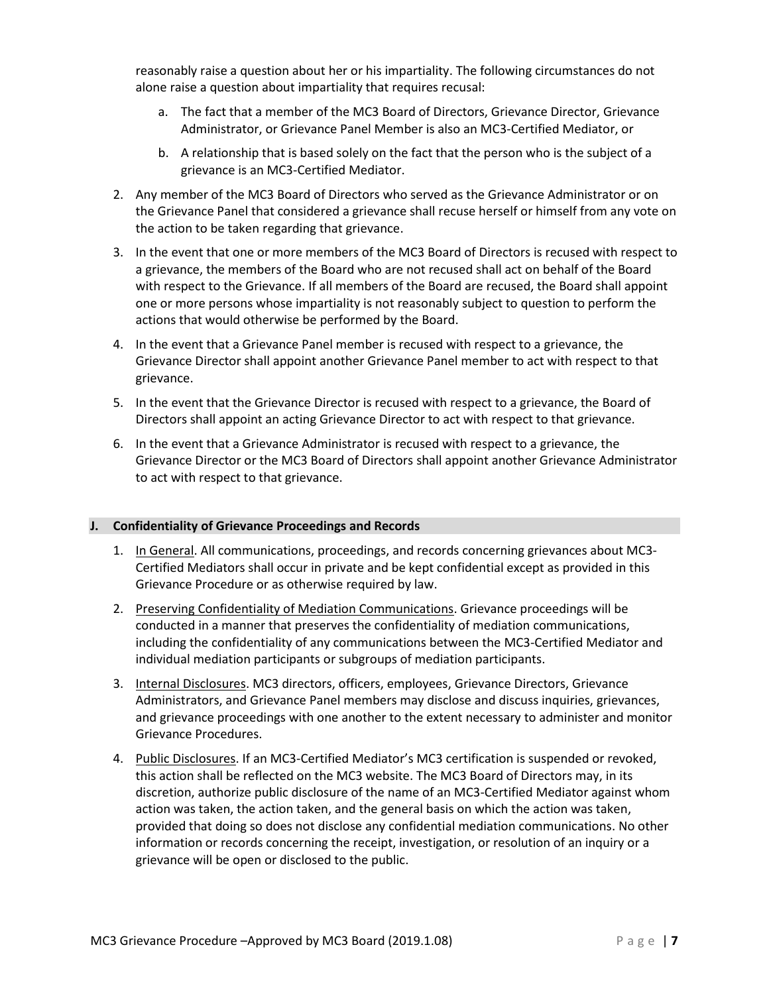reasonably raise a question about her or his impartiality. The following circumstances do not alone raise a question about impartiality that requires recusal:

- a. The fact that a member of the MC3 Board of Directors, Grievance Director, Grievance Administrator, or Grievance Panel Member is also an MC3-Certified Mediator, or
- b. A relationship that is based solely on the fact that the person who is the subject of a grievance is an MC3-Certified Mediator.
- 2. Any member of the MC3 Board of Directors who served as the Grievance Administrator or on the Grievance Panel that considered a grievance shall recuse herself or himself from any vote on the action to be taken regarding that grievance.
- 3. In the event that one or more members of the MC3 Board of Directors is recused with respect to a grievance, the members of the Board who are not recused shall act on behalf of the Board with respect to the Grievance. If all members of the Board are recused, the Board shall appoint one or more persons whose impartiality is not reasonably subject to question to perform the actions that would otherwise be performed by the Board.
- 4. In the event that a Grievance Panel member is recused with respect to a grievance, the Grievance Director shall appoint another Grievance Panel member to act with respect to that grievance.
- 5. In the event that the Grievance Director is recused with respect to a grievance, the Board of Directors shall appoint an acting Grievance Director to act with respect to that grievance.
- 6. In the event that a Grievance Administrator is recused with respect to a grievance, the Grievance Director or the MC3 Board of Directors shall appoint another Grievance Administrator to act with respect to that grievance.

# **J. Confidentiality of Grievance Proceedings and Records**

- 1. In General. All communications, proceedings, and records concerning grievances about MC3-Certified Mediators shall occur in private and be kept confidential except as provided in this Grievance Procedure or as otherwise required by law.
- 2. Preserving Confidentiality of Mediation Communications. Grievance proceedings will be conducted in a manner that preserves the confidentiality of mediation communications, including the confidentiality of any communications between the MC3-Certified Mediator and individual mediation participants or subgroups of mediation participants.
- 3. Internal Disclosures. MC3 directors, officers, employees, Grievance Directors, Grievance Administrators, and Grievance Panel members may disclose and discuss inquiries, grievances, and grievance proceedings with one another to the extent necessary to administer and monitor Grievance Procedures.
- 4. Public Disclosures. If an MC3-Certified Mediator's MC3 certification is suspended or revoked, this action shall be reflected on the MC3 website. The MC3 Board of Directors may, in its discretion, authorize public disclosure of the name of an MC3-Certified Mediator against whom action was taken, the action taken, and the general basis on which the action was taken, provided that doing so does not disclose any confidential mediation communications. No other information or records concerning the receipt, investigation, or resolution of an inquiry or a grievance will be open or disclosed to the public.